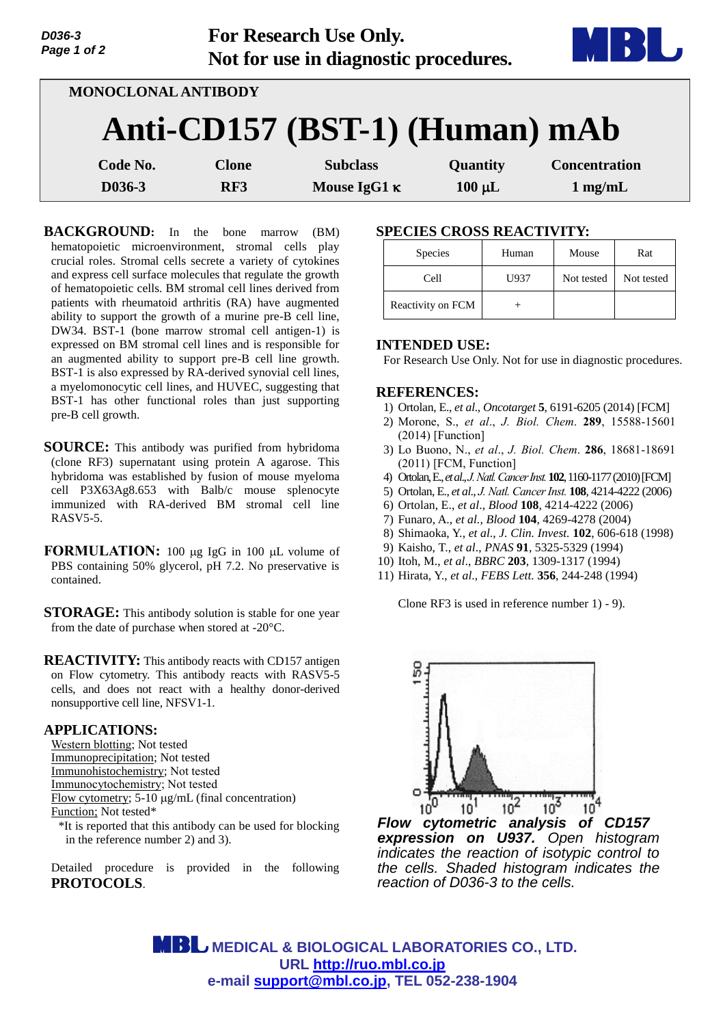| D036-3<br>Page 1 of 2 |                     | For Research Use Only.<br>Not for use in diagnostic procedures. |             |                      |
|-----------------------|---------------------|-----------------------------------------------------------------|-------------|----------------------|
|                       | MONOCLONAL ANTIBODY |                                                                 |             |                      |
|                       |                     | Anti-CD157 (BST-1) (Human) mAb                                  |             |                      |
| Code No.              | <b>Clone</b>        | <b>Subclass</b>                                                 | Quantity    | <b>Concentration</b> |
| D036-3                | RF3                 | Mouse IgG1 $\kappa$                                             | $100 \mu L$ | $1$ mg/mL            |

**BACKGROUND:** In the bone marrow (BM) hematopoietic microenvironment, stromal cells play crucial roles. Stromal cells secrete a variety of cytokines and express cell surface molecules that regulate the growth of hematopoietic cells. BM stromal cell lines derived from patients with rheumatoid arthritis (RA) have augmented ability to support the growth of a murine pre-B cell line, DW34. BST-1 (bone marrow stromal cell antigen-1) is expressed on BM stromal cell lines and is responsible for an augmented ability to support pre-B cell line growth. BST-1 is also expressed by RA-derived synovial cell lines, a myelomonocytic cell lines, and HUVEC, suggesting that BST-1 has other functional roles than just supporting pre-B cell growth.

- **SOURCE:** This antibody was purified from hybridoma (clone RF3) supernatant using protein A agarose. This hybridoma was established by fusion of mouse myeloma cell P3X63Ag8.653 with Balb/c mouse splenocyte immunized with RA-derived BM stromal cell line RASV5-5.
- **FORMULATION:** 100 µg IgG in 100 µL volume of PBS containing 50% glycerol, pH 7.2. No preservative is contained.
- **STORAGE:** This antibody solution is stable for one year from the date of purchase when stored at -20°C.

**REACTIVITY:** This antibody reacts with CD157 antigen on Flow cytometry. This antibody reacts with RASV5-5 cells, and does not react with a healthy donor-derived nonsupportive cell line, NFSV1-1.

## **APPLICATIONS:**

- Western blotting; Not tested Immunoprecipitation; Not tested
- Immunohistochemistry; Not tested
- Immunocytochemistry; Not tested
- Flow cytometry;  $5-10 \mu g/mL$  (final concentration)
- Function; Not tested\*
- \*It is reported that this antibody can be used for blocking in the reference number 2) and 3).

Detailed procedure is provided in the following **PROTOCOLS**.

## **SPECIES CROSS REACTIVITY:**

| <b>Species</b>    | Human | Mouse      | Rat        |
|-------------------|-------|------------|------------|
| Cell              | U937  | Not tested | Not tested |
| Reactivity on FCM |       |            |            |

### **INTENDED USE:**

For Research Use Only. Not for use in diagnostic procedures.

#### **REFERENCES:**

- 1) Ortolan, E., *et al*., *Oncotarget* **5**, 6191-6205 (2014) [FCM]
- 2) Morone, S., *et al*., *J. Biol. Chem*. **289**, 15588-15601 (2014) [Function]
- 3) Lo Buono, N., *et al*., *J. Biol. Chem*. **286**, 18681-18691 (2011) [FCM, Function]
- 4) Ortolan, E., *et al*., *[J.Natl.Cancer Inst.](http://www.ncbi.nlm.nih.gov/pubmed/20639476)***102**, 1160-1177(2010)[FCM]
- 5) Ortolan, E., *et al*., *J. Natl. [Cancer Inst.](http://www.ncbi.nlm.nih.gov/pubmed/20639476)* **108**, 4214-4222 (2006)
- 6) Ortolan, E., *et al*., *Blood* **108**, 4214-4222 (2006)
- 7) Funaro, A., *et al., Blood* **104**, 4269-4278 (2004)
- 8) Shimaoka, Y., *et al*., *J. Clin. Invest.* **102**, 606-618 (1998)
- 9) Kaisho, T., *et al*., *PNAS* **91**, 5325-5329 (1994)
- 10) Itoh, M., *et al*., *BBRC* **203**, 1309-1317 (1994)
- 11) Hirata, Y., *et al*., *FEBS Lett.* **356**, 244-248 (1994)

Clone RF3 is used in reference number 1) - 9).



*expression on U937. Open histogram indicates the reaction of isotypic control to the cells. Shaded histogram indicates the reaction of D036-3 to the cells.*

 **MEDICAL & BIOLOGICAL LABORATORIES CO., LTD. URL [http://ruo.mbl.co.jp](https://res.mbl.co.jp/) e-mail [support@mbl.co.jp,](mailto:support@mbl.co.jp) TEL 052-238-1904**